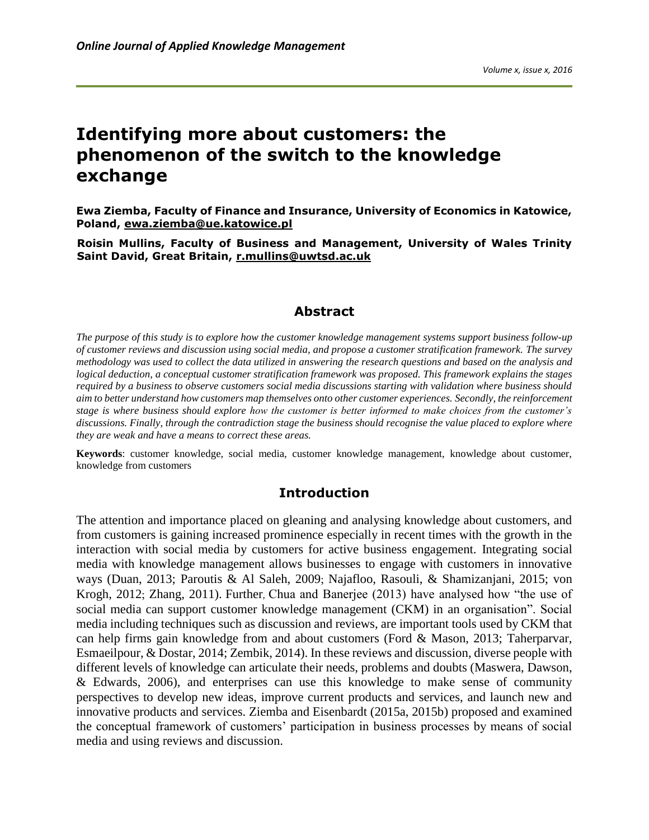# **Identifying more about customers: the phenomenon of the switch to the knowledge exchange**

**Ewa Ziemba, Faculty of Finance and Insurance, University of Economics in Katowice, Poland, [ewa.ziemba@ue.katowice.pl](mailto:ewa.ziemba@ue.katowice.pl)**

**Roisin Mullins, Faculty of Business and Management, University of Wales Trinity Saint David, Great Britain, [r.mullins@uwtsd.ac.uk](mailto:r.mullins@uwtsd.ac.uk)**

#### **Abstract**

*The purpose of this study is to explore how the customer knowledge management systems support business follow-up of customer reviews and discussion using social media, and propose a customer stratification framework. The survey methodology was used to collect the data utilized in answering the research questions and based on the analysis and logical deduction, a conceptual* c*ustomer stratification framework was proposed. This framework explains the stages required by a business to observe customers social media discussions starting with validation where business should aim to better understand how customers map themselves onto other customer experiences. Secondly, the reinforcement stage is where business should explore how the customer is better informed to make choices from the customer's discussions. Finally, through the contradiction stage the business should recognise the value placed to explore where they are weak and have a means to correct these areas.*

**Keywords**: customer knowledge, social media, customer knowledge management, knowledge about customer, knowledge from customers

#### **Introduction**

The attention and importance placed on gleaning and analysing knowledge about customers, and from customers is gaining increased prominence especially in recent times with the growth in the interaction with social media by customers for active business engagement. Integrating social media with knowledge management allows businesses to engage with customers in innovative ways (Duan, 2013; Paroutis & Al Saleh, 2009; Najafloo, Rasouli, & Shamizanjani, 2015; von Krogh, 2012; Zhang, 2011). Further, Chua and Banerjee (2013) have analysed how "the use of social media can support customer knowledge management (CKM) in an organisation". Social media including techniques such as discussion and reviews, are important tools used by CKM that can help firms gain knowledge from and about customers (Ford & Mason, 2013; Taherparvar, Esmaeilpour, & Dostar, 2014; Zembik, 2014). In these reviews and discussion, diverse people with different levels of knowledge can articulate their needs, problems and doubts (Maswera, Dawson, & Edwards, 2006), and enterprises can use this knowledge to make sense of community perspectives to develop new ideas, improve current products and services, and launch new and innovative products and services. Ziemba and Eisenbardt (2015a, 2015b) proposed and examined the conceptual framework of customers' participation in business processes by means of social media and using reviews and discussion.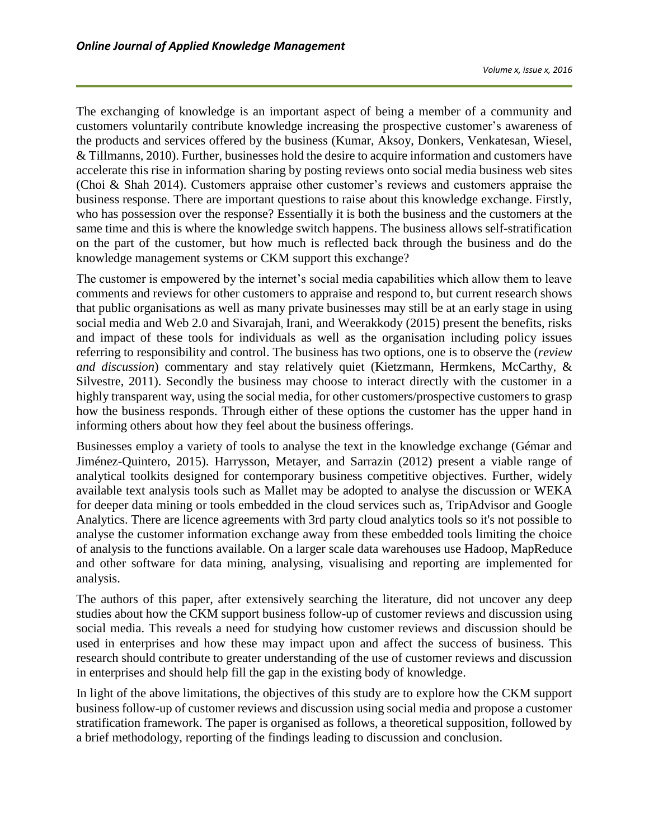The exchanging of knowledge is an important aspect of being a member of a community and customers voluntarily contribute knowledge increasing the prospective customer's awareness of the products and services offered by the business (Kumar, Aksoy, Donkers, Venkatesan, Wiesel, & Tillmanns*,* 2010). Further, businesses hold the desire to acquire information and customers have accelerate this rise in information sharing by posting reviews onto social media business web sites (Choi & Shah 2014). Customers appraise other customer's reviews and customers appraise the business response. There are important questions to raise about this knowledge exchange. Firstly, who has possession over the response? Essentially it is both the business and the customers at the same time and this is where the knowledge switch happens. The business allows self-stratification on the part of the customer, but how much is reflected back through the business and do the knowledge management systems or CKM support this exchange?

The customer is empowered by the internet's social media capabilities which allow them to leave comments and reviews for other customers to appraise and respond to, but current research shows that public organisations as well as many private businesses may still be at an early stage in using social media and Web 2.0 and [Sivarajah](http://www.sciencedirect.com/science/article/pii/S0740624X15000763), Irani, and Weerakkody (2015) present the benefits, risks and impact of these tools for individuals as well as the organisation including policy issues referring to responsibility and control. The business has two options, one is to observe the (*review and discussion*) commentary and stay relatively quiet (Kietzmann, Hermkens, McCarthy, & Silvestre, 2011). Secondly the business may choose to interact directly with the customer in a highly transparent way, using the social media, for other customers/prospective customers to grasp how the business responds. Through either of these options the customer has the upper hand in informing others about how they feel about the business offerings.

Businesses employ a variety of tools to analyse the text in the knowledge exchange (Gémar and Jiménez-Quintero, 2015). Harrysson, Metayer, and Sarrazin (2012) present a viable range of analytical toolkits designed for contemporary business competitive objectives. Further, widely available text analysis tools such as Mallet may be adopted to analyse the discussion or WEKA for deeper data mining or tools embedded in the cloud services such as, TripAdvisor and Google Analytics. There are licence agreements with 3rd party cloud analytics tools so it's not possible to analyse the customer information exchange away from these embedded tools limiting the choice of analysis to the functions available. On a larger scale data warehouses use Hadoop, MapReduce and other software for data mining, analysing, visualising and reporting are implemented for analysis.

The authors of this paper, after extensively searching the literature, did not uncover any deep studies about how the CKM support business follow-up of customer reviews and discussion using social media. This reveals a need for studying how customer reviews and discussion should be used in enterprises and how these may impact upon and affect the success of business. This research should contribute to greater understanding of the use of customer reviews and discussion in enterprises and should help fill the gap in the existing body of knowledge.

In light of the above limitations, the objectives of this study are to explore how the CKM support business follow-up of customer reviews and discussion using social media and propose a customer stratification framework. The paper is organised as follows, a theoretical supposition, followed by a brief methodology, reporting of the findings leading to discussion and conclusion.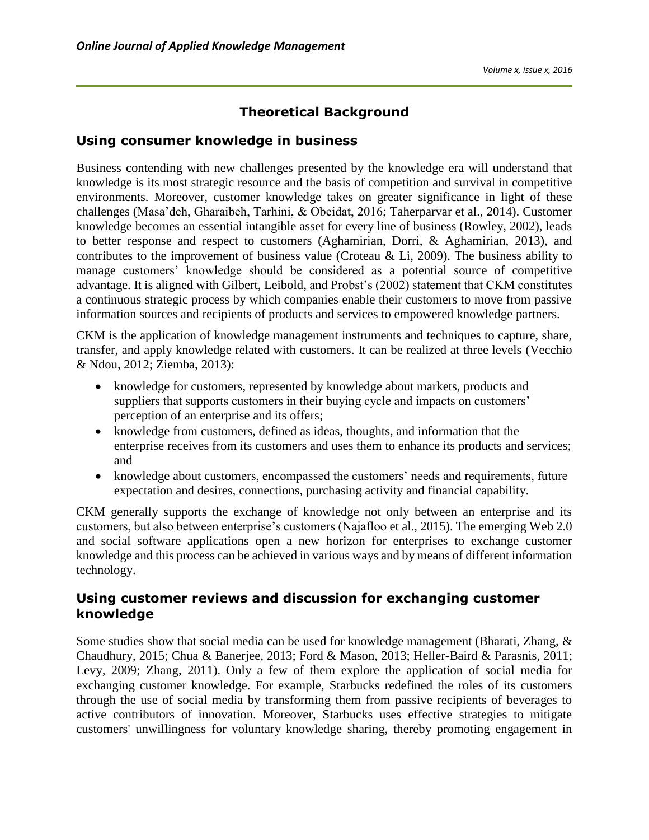# **Theoretical Background**

### **Using consumer knowledge in business**

Business contending with new challenges presented by the knowledge era will understand that knowledge is its most strategic resource and the basis of competition and survival in competitive environments. Moreover, customer knowledge takes on greater significance in light of these challenges (Masa'deh, Gharaibeh, Tarhini, & Obeidat, 2016; Taherparvar et al., 2014). Customer knowledge becomes an essential intangible asset for every line of business (Rowley, 2002), leads to better response and respect to customers (Aghamirian, Dorri, & Aghamirian, 2013), and contributes to the improvement of business value (Croteau & Li, 2009). The business ability to manage customers' knowledge should be considered as a potential source of competitive advantage. It is aligned with Gilbert, Leibold, and Probst's (2002) statement that CKM constitutes a continuous strategic process by which companies enable their customers to move from passive information sources and recipients of products and services to empowered knowledge partners.

CKM is the application of knowledge management instruments and techniques to capture, share, transfer, and apply knowledge related with customers. It can be realized at three levels (Vecchio & Ndou, 2012; Ziemba, 2013):

- knowledge for customers, represented by knowledge about markets, products and suppliers that supports customers in their buying cycle and impacts on customers' perception of an enterprise and its offers;
- knowledge from customers, defined as ideas, thoughts, and information that the enterprise receives from its customers and uses them to enhance its products and services; and
- knowledge about customers, encompassed the customers' needs and requirements, future expectation and desires, connections, purchasing activity and financial capability.

CKM generally supports the exchange of knowledge not only between an enterprise and its customers, but also between enterprise's customers (Najafloo et al., 2015). The emerging Web 2.0 and social software applications open a new horizon for enterprises to exchange customer knowledge and this process can be achieved in various ways and by means of different information technology.

### **Using customer reviews and discussion for exchanging customer knowledge**

Some studies show that social media can be used for knowledge management (Bharati, Zhang, & Chaudhury, 2015; Chua & Banerjee, 2013; Ford & Mason, 2013; [Heller-Baird](http://www.emeraldinsight.com/action/doSearch?ContribStored=Heller+Baird%2C+C) & [Parasnis,](http://www.emeraldinsight.com/action/doSearch?ContribStored=Parasnis%2C+G) 2011; Levy, 2009; Zhang, 2011). Only a few of them explore the application of social media for exchanging customer knowledge. For example, Starbucks redefined the roles of its customers through the use of social media by transforming them from passive recipients of beverages to active contributors of innovation. Moreover, Starbucks uses effective strategies to mitigate customers' unwillingness for voluntary knowledge sharing, thereby promoting engagement in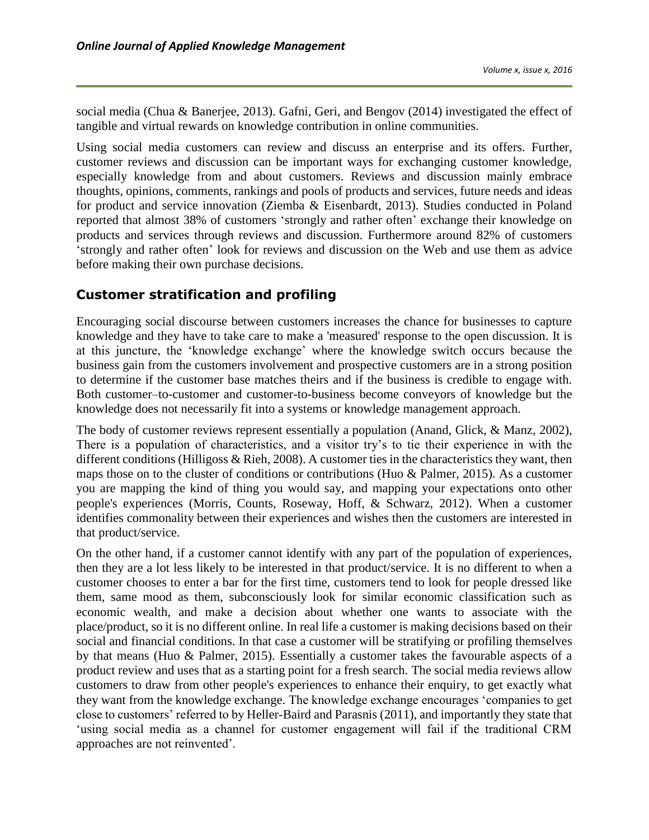social media (Chua & Banerjee, 2013). Gafni, Geri, and Bengov (2014) investigated the effect of tangible and virtual rewards on knowledge contribution in online communities.

Using social media customers can review and discuss an enterprise and its offers. Further, customer reviews and discussion can be important ways for exchanging customer knowledge, especially knowledge from and about customers. Reviews and discussion mainly embrace thoughts, opinions, comments, rankings and pools of products and services, future needs and ideas for product and service innovation (Ziemba & Eisenbardt, 2013). Studies conducted in Poland reported that almost 38% of customers 'strongly and rather often' exchange their knowledge on products and services through reviews and discussion. Furthermore around 82% of customers 'strongly and rather often' look for reviews and discussion on the Web and use them as advice before making their own purchase decisions.

# **Customer stratification and profiling**

Encouraging social discourse between customers increases the chance for businesses to capture knowledge and they have to take care to make a 'measured' response to the open discussion. It is at this juncture, the 'knowledge exchange' where the knowledge switch occurs because the business gain from the customers involvement and prospective customers are in a strong position to determine if the customer base matches theirs and if the business is credible to engage with. Both customer–to-customer and customer-to-business become conveyors of knowledge but the knowledge does not necessarily fit into a systems or knowledge management approach.

The body of customer reviews represent essentially a population (Anand, Glick, & Manz*,* 2002), There is a population of characteristics, and a visitor try's to tie their experience in with the different conditions (Hilligoss & Rieh, 2008). A customer ties in the characteristics they want, then maps those on to the cluster of conditions or contributions (Huo & Palmer, 2015). As a customer you are mapping the kind of thing you would say, and mapping your expectations onto other people's experiences (Morris, Counts, Roseway, Hoff, & Schwarz, 2012). When a customer identifies commonality between their experiences and wishes then the customers are interested in that product/service.

On the other hand, if a customer cannot identify with any part of the population of experiences, then they are a lot less likely to be interested in that product/service. It is no different to when a customer chooses to enter a bar for the first time, customers tend to look for people dressed like them, same mood as them, subconsciously look for similar economic classification such as economic wealth, and make a decision about whether one wants to associate with the place/product, so it is no different online. In real life a customer is making decisions based on their social and financial conditions. In that case a customer will be stratifying or profiling themselves by that means (Huo & Palmer, 2015). Essentially a customer takes the favourable aspects of a product review and uses that as a starting point for a fresh search. The social media reviews allow customers to draw from other people's experiences to enhance their enquiry, to get exactly what they want from the knowledge exchange. [The knowledge exchange encourages 'companies to get](http://www.emeraldinsight.com/action/doSearch?ContribStored=Heller+Baird%2C+C)  [close to customers' referred to by Heller-Baird](http://www.emeraldinsight.com/action/doSearch?ContribStored=Heller+Baird%2C+C) and [Parasnis](http://www.emeraldinsight.com/action/doSearch?ContribStored=Parasnis%2C+G) (2011), and importantly they state that 'using social media as a channel for customer engagement will fail if the traditional CRM approaches are not reinvented'.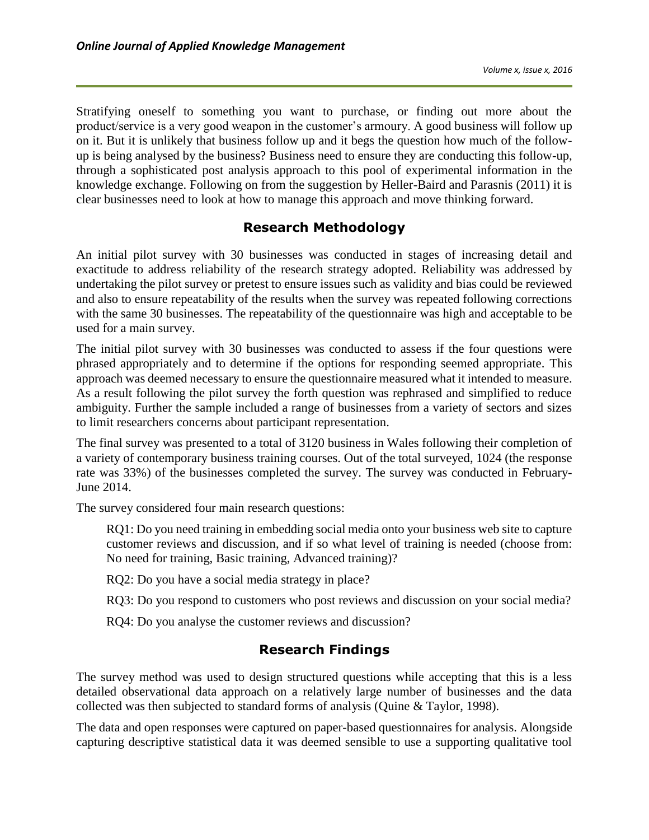Stratifying oneself to something you want to purchase, or finding out more about the product/service is a very good weapon in the customer's armoury. A good business will follow up on it. But it is unlikely that business follow up and it begs the question how much of the followup is being analysed by the business? Business need to ensure they are conducting this follow-up, through a sophisticated post analysis approach to this pool of experimental information in the knowledge exchange. Following on from the suggestion by Heller-Baird and Parasnis (2011) it is clear businesses need to look at how to manage this approach and move thinking forward.

# **Research Methodology**

An initial pilot survey with 30 businesses was conducted in stages of increasing detail and exactitude to address reliability of the research strategy adopted. Reliability was addressed by undertaking the pilot survey or pretest to ensure issues such as validity and bias could be reviewed and also to ensure repeatability of the results when the survey was repeated following corrections with the same 30 businesses. The repeatability of the questionnaire was high and acceptable to be used for a main survey.

The initial pilot survey with 30 businesses was conducted to assess if the four questions were phrased appropriately and to determine if the options for responding seemed appropriate. This approach was deemed necessary to ensure the questionnaire measured what it intended to measure. As a result following the pilot survey the forth question was rephrased and simplified to reduce ambiguity. Further the sample included a range of businesses from a variety of sectors and sizes to limit researchers concerns about participant representation.

The final survey was presented to a total of 3120 business in Wales following their completion of a variety of contemporary business training courses. Out of the total surveyed, 1024 (the response rate was 33%) of the businesses completed the survey. The survey was conducted in February-June 2014.

The survey considered four main research questions:

RQ1: Do you need training in embedding social media onto your business web site to capture customer reviews and discussion, and if so what level of training is needed (choose from: No need for training, Basic training, Advanced training)?

RQ2: Do you have a social media strategy in place?

RQ3: Do you respond to customers who post reviews and discussion on your social media?

RQ4: Do you analyse the customer reviews and discussion?

### **Research Findings**

The survey method was used to design structured questions while accepting that this is a less detailed observational data approach on a relatively large number of businesses and the data collected was then subjected to standard forms of analysis (Quine & Taylor, 1998).

The data and open responses were captured on paper-based questionnaires for analysis. Alongside capturing descriptive statistical data it was deemed sensible to use a supporting qualitative tool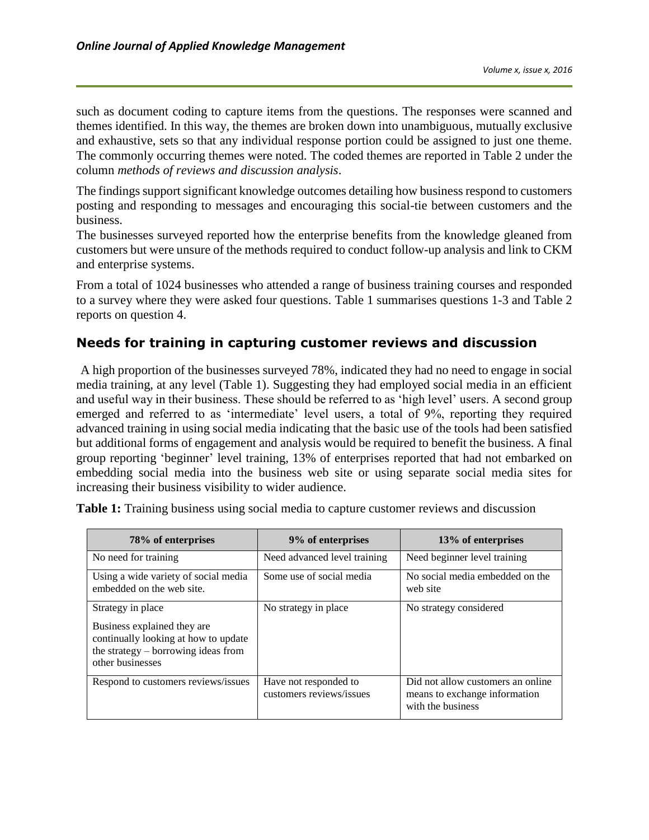such as document coding to capture items from the questions. The responses were scanned and themes identified. In this way, the themes are broken down into unambiguous, mutually exclusive and exhaustive, sets so that any individual response portion could be assigned to just one theme. The commonly occurring themes were noted. The coded themes are reported in Table 2 under the column *methods of reviews and discussion analysis*.

The findings support significant knowledge outcomes detailing how business respond to customers posting and responding to messages and encouraging this social-tie between customers and the business.

The businesses surveyed reported how the enterprise benefits from the knowledge gleaned from customers but were unsure of the methods required to conduct follow-up analysis and link to CKM and enterprise systems.

From a total of 1024 businesses who attended a range of business training courses and responded to a survey where they were asked four questions. Table 1 summarises questions 1-3 and Table 2 reports on question 4.

### **Needs for training in capturing customer reviews and discussion**

A high proportion of the businesses surveyed 78%, indicated they had no need to engage in social media training, at any level (Table 1). Suggesting they had employed social media in an efficient and useful way in their business. These should be referred to as 'high level' users. A second group emerged and referred to as 'intermediate' level users, a total of 9%, reporting they required advanced training in using social media indicating that the basic use of the tools had been satisfied but additional forms of engagement and analysis would be required to benefit the business. A final group reporting 'beginner' level training, 13% of enterprises reported that had not embarked on embedding social media into the business web site or using separate social media sites for increasing their business visibility to wider audience.

| 78% of enterprises                                                                                                                                    | 9% of enterprises                                 | 13% of enterprises                                                                      |
|-------------------------------------------------------------------------------------------------------------------------------------------------------|---------------------------------------------------|-----------------------------------------------------------------------------------------|
| No need for training                                                                                                                                  | Need advanced level training                      | Need beginner level training                                                            |
| Using a wide variety of social media<br>embedded on the web site.                                                                                     | Some use of social media                          | No social media embedded on the<br>web site                                             |
| Strategy in place<br>Business explained they are<br>continually looking at how to update<br>the strategy $-$ borrowing ideas from<br>other businesses | No strategy in place                              | No strategy considered                                                                  |
| Respond to customers reviews/issues                                                                                                                   | Have not responded to<br>customers reviews/issues | Did not allow customers an online<br>means to exchange information<br>with the business |

**Table 1:** Training business using social media to capture customer reviews and discussion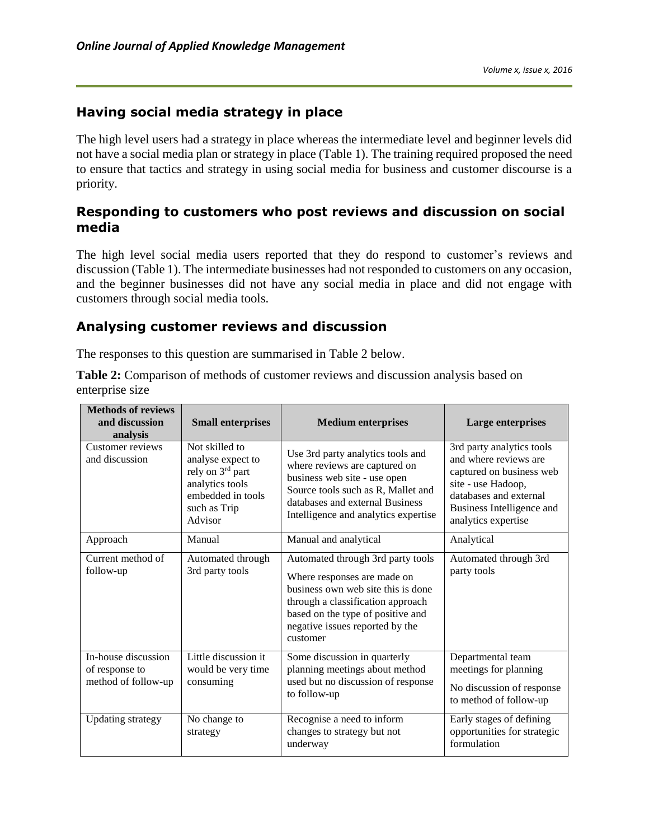## **Having social media strategy in place**

The high level users had a strategy in place whereas the intermediate level and beginner levels did not have a social media plan or strategy in place (Table 1). The training required proposed the need to ensure that tactics and strategy in using social media for business and customer discourse is a priority.

### **Responding to customers who post reviews and discussion on social media**

The high level social media users reported that they do respond to customer's reviews and discussion (Table 1). The intermediate businesses had not responded to customers on any occasion, and the beginner businesses did not have any social media in place and did not engage with customers through social media tools.

### **Analysing customer reviews and discussion**

The responses to this question are summarised in Table 2 below.

**Table 2:** Comparison of methods of customer reviews and discussion analysis based on enterprise size

| <b>Methods of reviews</b><br>and discussion<br>analysis      | <b>Small enterprises</b>                                                                                                   | <b>Medium enterprises</b>                                                                                                                                                                                                       | Large enterprises                                                                                                                                                                  |
|--------------------------------------------------------------|----------------------------------------------------------------------------------------------------------------------------|---------------------------------------------------------------------------------------------------------------------------------------------------------------------------------------------------------------------------------|------------------------------------------------------------------------------------------------------------------------------------------------------------------------------------|
| Customer reviews<br>and discussion                           | Not skilled to<br>analyse expect to<br>rely on 3rd part<br>analytics tools<br>embedded in tools<br>such as Trip<br>Advisor | Use 3rd party analytics tools and<br>where reviews are captured on<br>business web site - use open<br>Source tools such as R, Mallet and<br>databases and external Business<br>Intelligence and analytics expertise             | 3rd party analytics tools<br>and where reviews are<br>captured on business web<br>site - use Hadoop,<br>databases and external<br>Business Intelligence and<br>analytics expertise |
| Approach                                                     | Manual                                                                                                                     | Manual and analytical                                                                                                                                                                                                           | Analytical                                                                                                                                                                         |
| Current method of<br>follow-up                               | Automated through<br>3rd party tools                                                                                       | Automated through 3rd party tools<br>Where responses are made on<br>business own web site this is done<br>through a classification approach<br>based on the type of positive and<br>negative issues reported by the<br>customer | Automated through 3rd<br>party tools                                                                                                                                               |
| In-house discussion<br>of response to<br>method of follow-up | Little discussion it<br>would be very time<br>consuming                                                                    | Some discussion in quarterly<br>planning meetings about method<br>used but no discussion of response<br>to follow-up                                                                                                            | Departmental team<br>meetings for planning<br>No discussion of response<br>to method of follow-up                                                                                  |
| <b>Updating strategy</b>                                     | No change to<br>strategy                                                                                                   | Recognise a need to inform<br>changes to strategy but not<br>underway                                                                                                                                                           | Early stages of defining<br>opportunities for strategic<br>formulation                                                                                                             |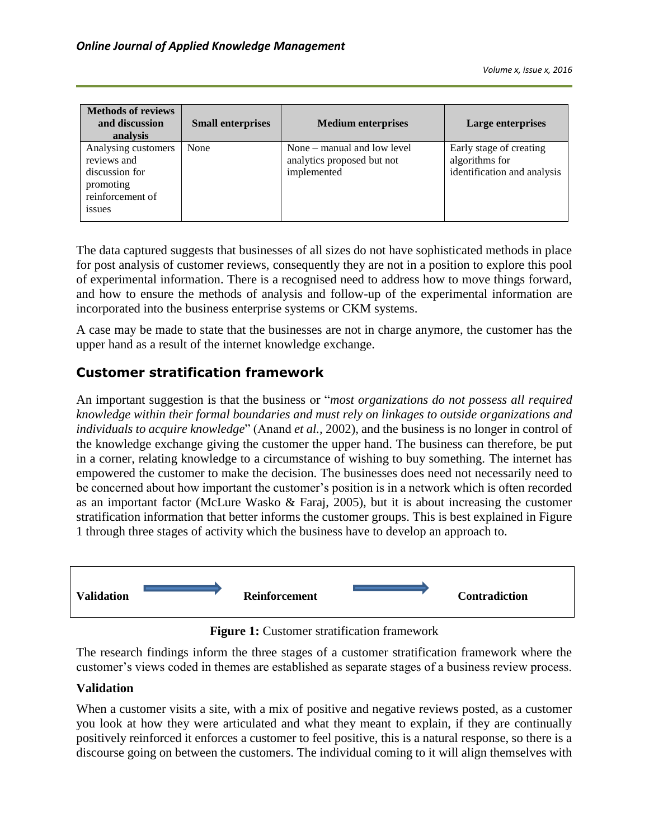| <b>Methods of reviews</b><br>and discussion<br>analysis                                               | <b>Small enterprises</b> | <b>Medium enterprises</b>                                                  | Large enterprises                                                        |
|-------------------------------------------------------------------------------------------------------|--------------------------|----------------------------------------------------------------------------|--------------------------------------------------------------------------|
| Analysing customers<br>reviews and<br>discussion for<br>promoting<br>reinforcement of<br><i>ssues</i> | None                     | None $-$ manual and low level<br>analytics proposed but not<br>implemented | Early stage of creating<br>algorithms for<br>identification and analysis |

The data captured suggests that businesses of all sizes do not have sophisticated methods in place for post analysis of customer reviews, consequently they are not in a position to explore this pool of experimental information. There is a recognised need to address how to move things forward, and how to ensure the methods of analysis and follow-up of the experimental information are incorporated into the business enterprise systems or CKM systems.

A case may be made to state that the businesses are not in charge anymore, the customer has the upper hand as a result of the internet knowledge exchange.

### **Customer stratification framework**

An important suggestion is that the business or "*most organizations do not possess all required knowledge within their formal boundaries and must rely on linkages to outside organizations and individuals to acquire knowledge*" (Anand *et al.,* 2002), and the business is no longer in control of the knowledge exchange giving the customer the upper hand. The business can therefore, be put in a corner, relating knowledge to a circumstance of wishing to buy something. The internet has empowered the customer to make the decision. The businesses does need not necessarily need to be concerned about how important the customer's position is in a network which is often recorded as an important factor (McLure Wasko & Faraj, 2005), but it is about increasing the customer stratification information that better informs the customer groups. This is best explained in Figure 1 through three stages of activity which the business have to develop an approach to.



**Figure 1:** Customer stratification framework

The research findings inform the three stages of a customer stratification framework where the customer's views coded in themes are established as separate stages of a business review process.

#### **Validation**

When a customer visits a site, with a mix of positive and negative reviews posted, as a customer you look at how they were articulated and what they meant to explain, if they are continually positively reinforced it enforces a customer to feel positive, this is a natural response, so there is a discourse going on between the customers. The individual coming to it will align themselves with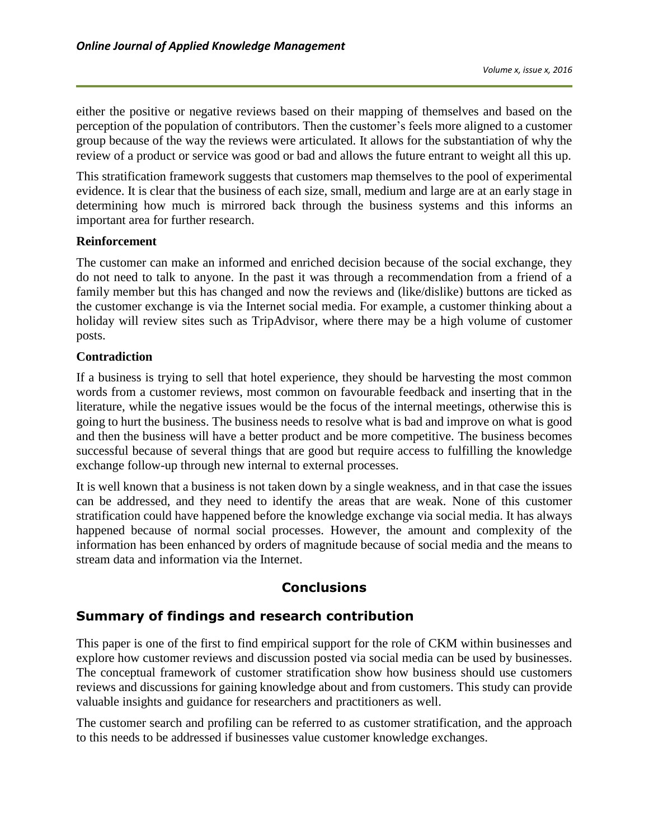either the positive or negative reviews based on their mapping of themselves and based on the perception of the population of contributors. Then the customer's feels more aligned to a customer group because of the way the reviews were articulated. It allows for the substantiation of why the review of a product or service was good or bad and allows the future entrant to weight all this up.

This stratification framework suggests that customers map themselves to the pool of experimental evidence. It is clear that the business of each size, small, medium and large are at an early stage in determining how much is mirrored back through the business systems and this informs an important area for further research.

#### **Reinforcement**

The customer can make an informed and enriched decision because of the social exchange, they do not need to talk to anyone. In the past it was through a recommendation from a friend of a family member but this has changed and now the reviews and (like/dislike) buttons are ticked as the customer exchange is via the Internet social media. For example, a customer thinking about a holiday will review sites such as TripAdvisor, where there may be a high volume of customer posts.

#### **Contradiction**

If a business is trying to sell that hotel experience, they should be harvesting the most common words from a customer reviews, most common on favourable feedback and inserting that in the literature, while the negative issues would be the focus of the internal meetings, otherwise this is going to hurt the business. The business needs to resolve what is bad and improve on what is good and then the business will have a better product and be more competitive. The business becomes successful because of several things that are good but require access to fulfilling the knowledge exchange follow-up through new internal to external processes.

It is well known that a business is not taken down by a single weakness, and in that case the issues can be addressed, and they need to identify the areas that are weak. None of this customer stratification could have happened before the knowledge exchange via social media. It has always happened because of normal social processes. However, the amount and complexity of the information has been enhanced by orders of magnitude because of social media and the means to stream data and information via the Internet.

#### **Conclusions**

#### **Summary of findings and research contribution**

This paper is one of the first to find empirical support for the role of CKM within businesses and explore how customer reviews and discussion posted via social media can be used by businesses. The conceptual framework of customer stratification show how business should use customers reviews and discussions for gaining knowledge about and from customers. This study can provide valuable insights and guidance for researchers and practitioners as well.

The customer search and profiling can be referred to as customer stratification, and the approach to this needs to be addressed if businesses value customer knowledge exchanges.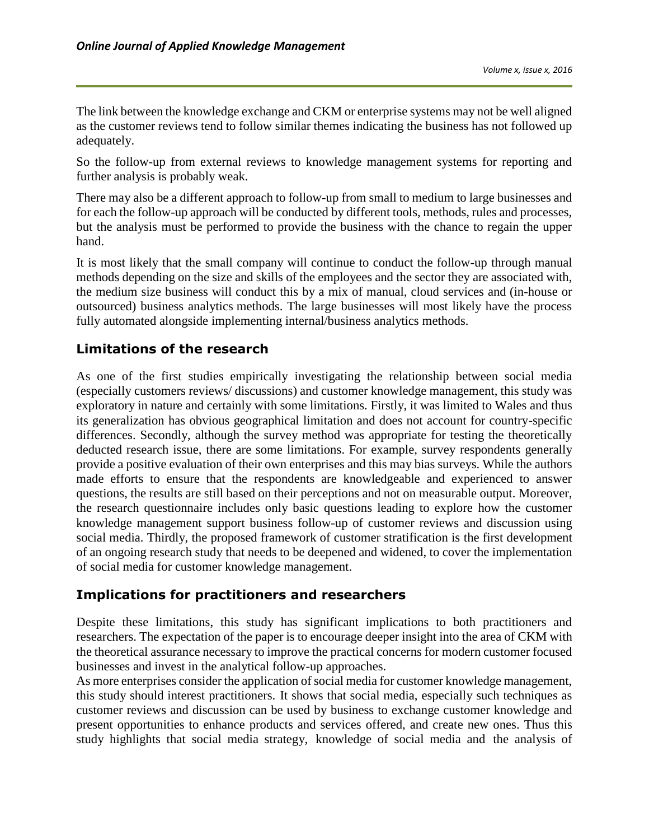The link between the knowledge exchange and CKM or enterprise systems may not be well aligned as the customer reviews tend to follow similar themes indicating the business has not followed up adequately.

So the follow-up from external reviews to knowledge management systems for reporting and further analysis is probably weak.

There may also be a different approach to follow-up from small to medium to large businesses and for each the follow-up approach will be conducted by different tools, methods, rules and processes, but the analysis must be performed to provide the business with the chance to regain the upper hand.

It is most likely that the small company will continue to conduct the follow-up through manual methods depending on the size and skills of the employees and the sector they are associated with, the medium size business will conduct this by a mix of manual, cloud services and (in-house or outsourced) business analytics methods. The large businesses will most likely have the process fully automated alongside implementing internal/business analytics methods.

# **Limitations of the research**

As one of the first studies empirically investigating the relationship between social media (especially customers reviews/ discussions) and customer knowledge management, this study was exploratory in nature and certainly with some limitations. Firstly, it was limited to Wales and thus its generalization has obvious geographical limitation and does not account for country-specific differences. Secondly, although the survey method was appropriate for testing the theoretically deducted research issue, there are some limitations. For example, survey respondents generally provide a positive evaluation of their own enterprises and this may bias surveys. While the authors made efforts to ensure that the respondents are knowledgeable and experienced to answer questions, the results are still based on their perceptions and not on measurable output. Moreover, the research questionnaire includes only basic questions leading to explore how the customer knowledge management support business follow-up of customer reviews and discussion using social media. Thirdly, the proposed framework of customer stratification is the first development of an ongoing research study that needs to be deepened and widened, to cover the implementation of social media for customer knowledge management.

### **Implications for practitioners and researchers**

Despite these limitations, this study has significant implications to both practitioners and researchers. The expectation of the paper is to encourage deeper insight into the area of CKM with the theoretical assurance necessary to improve the practical concerns for modern customer focused businesses and invest in the analytical follow-up approaches.

As more enterprises consider the application of social media for customer knowledge management, this study should interest practitioners. It shows that social media, especially such techniques as customer reviews and discussion can be used by business to exchange customer knowledge and present opportunities to enhance products and services offered, and create new ones. Thus this study highlights that social media strategy, knowledge of social media and the analysis of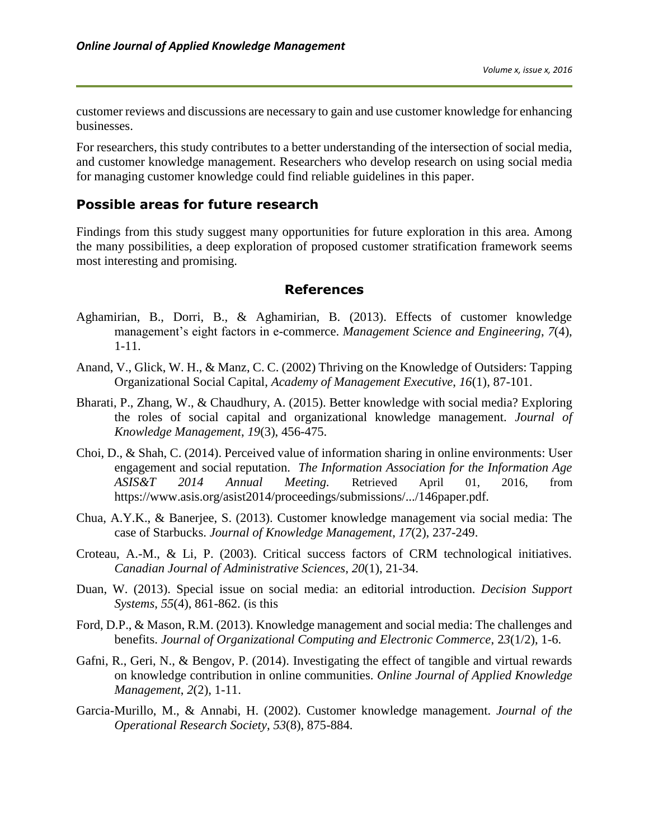customer reviews and discussions are necessary to gain and use customer knowledge for enhancing businesses.

For researchers, this study contributes to a better understanding of the intersection of social media, and customer knowledge management. Researchers who develop research on using social media for managing customer knowledge could find reliable guidelines in this paper.

#### **Possible areas for future research**

Findings from this study suggest many opportunities for future exploration in this area. Among the many possibilities, a deep exploration of proposed customer stratification framework seems most interesting and promising.

#### **References**

- Aghamirian, B., Dorri, B., & Aghamirian, B. (2013). Effects of customer knowledge management's eight factors in e-commerce. *Management Science and Engineering*, *7*(4), 1-11.
- Anand, V., Glick, W. H., & Manz, C. C. (2002) Thriving on the Knowledge of Outsiders: Tapping Organizational Social Capital, *Academy of Management Executive*, *16*(1), 87-101.
- Bharati, P., Zhang, W., & Chaudhury, A. (2015). Better knowledge with social media? Exploring the roles of social capital and organizational knowledge management. *Journal of Knowledge Management*, *19*(3), 456-475.
- Choi, D., & Shah, C. (2014). Perceived value of information sharing in online environments: User engagement and social reputation. *[The Information Association for the Information Age](https://www.asis.org/asist2014/program.html)  [ASIS&T 2014 Annual Meeting.](https://www.asis.org/asist2014/program.html)* Retrieved April 01, 2016, from <https://www.asis.org/asist2014/proceedings/submissions/.../146paper.pdf>*.*
- Chua, A.Y.K., & Banerjee, S. (2013). Customer knowledge management via social media: The case of Starbucks. *Journal of Knowledge Management*, *17*(2), 237-249.
- Croteau, A.-M., & Li, P. (2003). Critical success factors of CRM technological initiatives. *Canadian Journal of Administrative Sciences*, *20*(1), 21-34.
- Duan, W. (2013). Special issue on social media: an editorial introduction. *Decision Support Systems*, *55*(4), 861-862. (is this
- Ford, D.P., & Mason, R.M. (2013). Knowledge management and social media: The challenges and benefits. *Journal of Organizational Computing and Electronic Commerce*, 2*3*(1/2), 1-6.
- Gafni, R., Geri, N., & Bengov, P. (2014). Investigating the effect of tangible and virtual rewards on knowledge contribution in online communities. *Online Journal of Applied Knowledge Management*, *2*(2), 1-11.
- Garcia-Murillo, M., & Annabi, H. (2002). Customer knowledge management. *Journal of the Operational Research Society*, *53*(8), 875-884.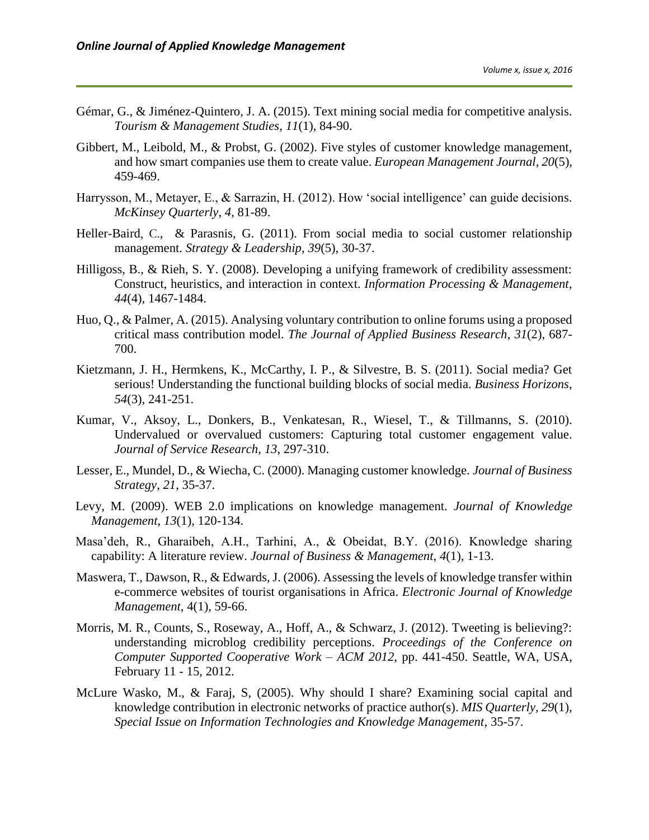- Gémar, G., & Jiménez-Quintero, J. A. (2015). Text mining social media for competitive analysis. *Tourism & Management Studies*, *11*(1), 84-90.
- Gibbert, M., Leibold, M., & Probst, G. (2002). Five styles of customer knowledge management, and how smart companies use them to create value. *European Management Journal*, *20*(5), 459-469.
- Harrysson, M., Metayer, E., & Sarrazin, H. (2012). How 'social intelligence' can guide decisions. *McKinsey Quarterly*, *4*, 81-89.
- [Heller-Baird](http://www.emeraldinsight.com/action/doSearch?ContribStored=Heller+Baird%2C+C), C., [& Parasnis,](http://www.emeraldinsight.com/action/doSearch?ContribStored=Parasnis%2C+G) G. (2011). From social media to social customer relationship management. *Strategy & Leadership*, *39*(5), 30-37.
- Hilligoss, B., & Rieh, S. Y. (2008). Developing a unifying framework of credibility assessment: Construct, heuristics, and interaction in context. *Information Processing & Management*, *44*(4), 1467-1484.
- Huo, Q., & Palmer, A. (2015). Analysing voluntary contribution to online forums using a proposed critical mass contribution model. *The Journal of Applied Business Research*, *31*(2), 687- 700.
- Kietzmann, J. H., Hermkens, K., McCarthy, I. P., & Silvestre, B. S. (2011). Social media? Get serious! Understanding the functional building blocks of social media. *Business Horizons*, *54*(3), 241-251.
- Kumar, V., Aksoy, L., Donkers, B., Venkatesan, R., Wiesel, T., & Tillmanns, S. (2010). Undervalued or overvalued customers: Capturing total customer engagement value. *Journal of Service Research*, *13*, 297-310.
- Lesser, E., Mundel, D., & Wiecha, C. (2000). Managing customer knowledge. *Journal of Business Strategy*, *21*, 35-37.
- Levy, M. (2009). WEB 2.0 implications on knowledge management. *Journal of Knowledge Management*, *13*(1), 120-134.
- Masa'deh, R., Gharaibeh, A.H., Tarhini, A., & Obeidat, B.Y. (2016). Knowledge sharing capability: A literature review. *Journal of Business & Management*, *4*(1), 1-13.
- Maswera, T., Dawson, R., & Edwards, J. (2006). Assessing the levels of knowledge transfer within e-commerce websites of tourist organisations in Africa. *Electronic Journal of Knowledge Management*, 4(1), 59-66.
- Morris, M. R., Counts, S., Roseway, A., Hoff, A., & Schwarz, J. (2012). Tweeting is believing?: understanding microblog credibility perceptions. *Proceedings of the Conference on Computer Supported Cooperative Work – ACM 2012*, pp. 441-450. Seattle, WA, USA, February 11 - 15, 2012.
- McLure Wasko, M., & Faraj, S, (2005). Why should I share? Examining social capital and knowledge contribution in electronic networks of practice author(s). *MIS Quarterly, 29*(1), *Special Issue on Information Technologies and Knowledge Management*, 35-57.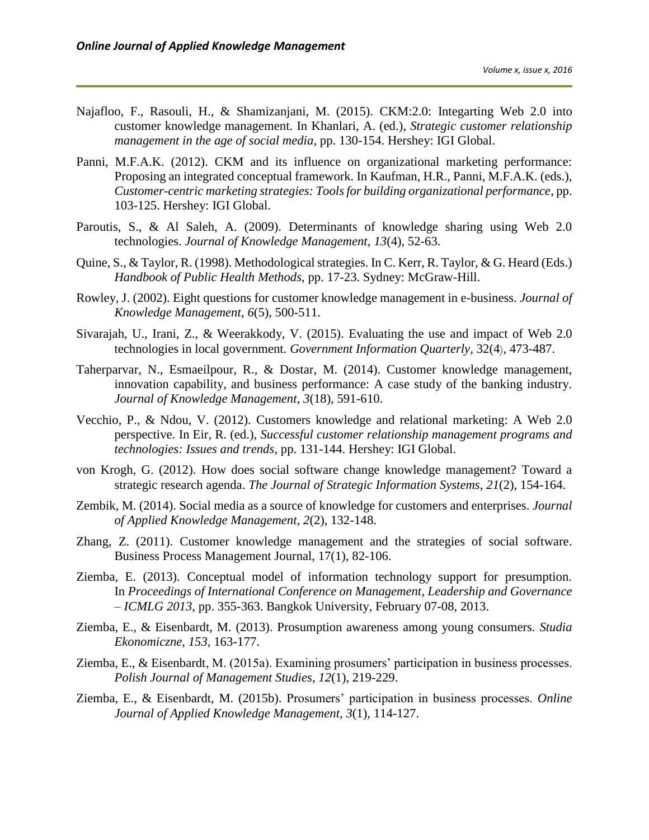- Najafloo, F., Rasouli, H., & Shamizanjani, M. (2015). CKM:2.0: Integarting Web 2.0 into customer knowledge management. In Khanlari, A. (ed.), *Strategic customer relationship management in the age of social media*, pp. 130-154. Hershey: IGI Global.
- Panni, M.F.A.K. (2012). CKM and its influence on organizational marketing performance: Proposing an integrated conceptual framework. In Kaufman, H.R., Panni, M.F.A.K. (eds.), *Customer-centric marketing strategies: Tools for building organizational performance*, pp. 103-125. Hershey: IGI Global.
- Paroutis, S., & Al Saleh, A. (2009). Determinants of knowledge sharing using Web 2.0 technologies. *Journal of Knowledge Management*, *13*(4), 52-63.
- Quine, S., & Taylor, R. (1998). Methodological strategies. In C. Kerr, R. Taylor, & G. Heard (Eds.) *Handbook of Public Health Methods*, pp. 17-23. Sydney: McGraw-Hill.
- Rowley, J. (2002). Eight questions for customer knowledge management in e-business. *Journal of Knowledge Management*, *6*(5), 500-511.
- [Sivarajah,](http://www.sciencedirect.com/science/article/pii/S0740624X15000763) U., Irani, [Z., &](http://www.sciencedirect.com/science/article/pii/S0740624X15000763) Weerakkody, V. (2015). Evaluating the use and impact of Web 2.0 technologies in local government. *[Government Information Quarterly,](http://www.sciencedirect.com/science/journal/0740624X)* [32\(4](http://www.sciencedirect.com/science/journal/0740624X/32/4)), 473-487.
- Taherparvar, N., Esmaeilpour, R., & Dostar, M. (2014). Customer knowledge management, innovation capability, and business performance: A case study of the banking industry. *Journal of Knowledge Management*, *3*(18), 591-610.
- Vecchio, P., & Ndou, V. (2012). Customers knowledge and relational marketing: A Web 2.0 perspective. In Eir, R. (ed.), *Successful customer relationship management programs and technologies: Issues and trends*, pp. 131-144. Hershey: IGI Global.
- von Krogh, G. (2012). How does social software change knowledge management? Toward a strategic research agenda. *The Journal of Strategic Information Systems*, *21*(2), 154-164.
- Zembik, M. (2014). Social media as a source of knowledge for customers and enterprises. *Journal of Applied Knowledge Management*, *2*(2), 132-148.
- Zhang, Z. (2011). Customer knowledge management and the strategies of social software. Business Process Management Journal, 17(1), 82-106.
- Ziemba, E. (2013). Conceptual model of information technology support for presumption. In *Proceedings of International Conference on Management, Leadership and Governance – ICMLG 2013*, pp. 355-363. Bangkok University, February 07-08, 2013.
- Ziemba, E., & Eisenbardt, M. (2013). Prosumption awareness among young consumers. *Studia Ekonomiczne*, *153*, 163-177.
- Ziemba, E., & Eisenbardt, M. (2015a). Examining prosumers' participation in business processes. *Polish Journal of Management Studies*, *12*(1), 219-229.
- Ziemba, E., & Eisenbardt, M. (2015b). Prosumers' participation in business processes. *Online Journal of Applied Knowledge Management*, *3*(1), 114-127.